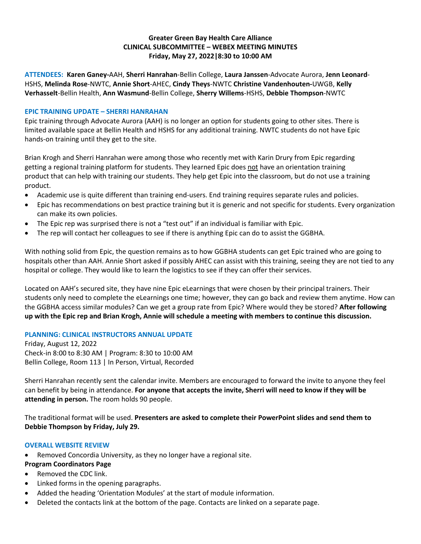# **Greater Green Bay Health Care Alliance CLINICAL SUBCOMMITTEE – WEBEX MEETING MINUTES Friday, May 27, 2022|8:30 to 10:00 AM**

**ATTENDEES: Karen Ganey-**AAH, **Sherri Hanrahan**-Bellin College, **Laura Janssen**-Advocate Aurora, **Jenn Leonard**-HSHS, **Melinda Rose**-NWTC, **Annie Short**-AHEC, **Cindy Theys**-NWTC **Christine Vandenhouten-**UWGB, **Kelly Verhasselt**-Bellin Health, **Ann Wasmund**-Bellin College, **Sherry Willems**-HSHS, **Debbie Thompson**-NWTC

### **EPIC TRAINING UPDATE – SHERRI HANRAHAN**

Epic training through Advocate Aurora (AAH) is no longer an option for students going to other sites. There is limited available space at Bellin Health and HSHS for any additional training. NWTC students do not have Epic hands-on training until they get to the site.

Brian Krogh and Sherri Hanrahan were among those who recently met with Karin Drury from Epic regarding getting a regional training platform for students. They learned Epic does not have an orientation training product that can help with training our students. They help get Epic into the classroom, but do not use a training product.

- Academic use is quite different than training end-users. End training requires separate rules and policies.
- Epic has recommendations on best practice training but it is generic and not specific for students. Every organization can make its own policies.
- The Epic rep was surprised there is not a "test out" if an individual is familiar with Epic.
- The rep will contact her colleagues to see if there is anything Epic can do to assist the GGBHA.

With nothing solid from Epic, the question remains as to how GGBHA students can get Epic trained who are going to hospitals other than AAH. Annie Short asked if possibly AHEC can assist with this training, seeing they are not tied to any hospital or college. They would like to learn the logistics to see if they can offer their services.

Located on AAH's secured site, they have nine Epic eLearnings that were chosen by their principal trainers. Their students only need to complete the eLearnings one time; however, they can go back and review them anytime. How can the GGBHA access similar modules? Can we get a group rate from Epic? Where would they be stored? **After following up with the Epic rep and Brian Krogh, Annie will schedule a meeting with members to continue this discussion.** 

## **PLANNING: CLINICAL INSTRUCTORS ANNUAL UPDATE**

Friday, August 12, 2022 Check-in 8:00 to 8:30 AM | Program: 8:30 to 10:00 AM Bellin College, Room 113 | In Person, Virtual, Recorded

Sherri Hanrahan recently sent the calendar invite. Members are encouraged to forward the invite to anyone they feel can benefit by being in attendance. **For anyone that accepts the invite, Sherri will need to know if they will be attending in person.** The room holds 90 people.

The traditional format will be used. **Presenters are asked to complete their PowerPoint slides and send them to Debbie Thompson by Friday, July 29.**

#### **OVERALL WEBSITE REVIEW**

- Removed Concordia University, as they no longer have a regional site.
- **Program Coordinators Page**
- Removed the CDC link.
- Linked forms in the opening paragraphs.
- Added the heading 'Orientation Modules' at the start of module information.
- Deleted the contacts link at the bottom of the page. Contacts are linked on a separate page.